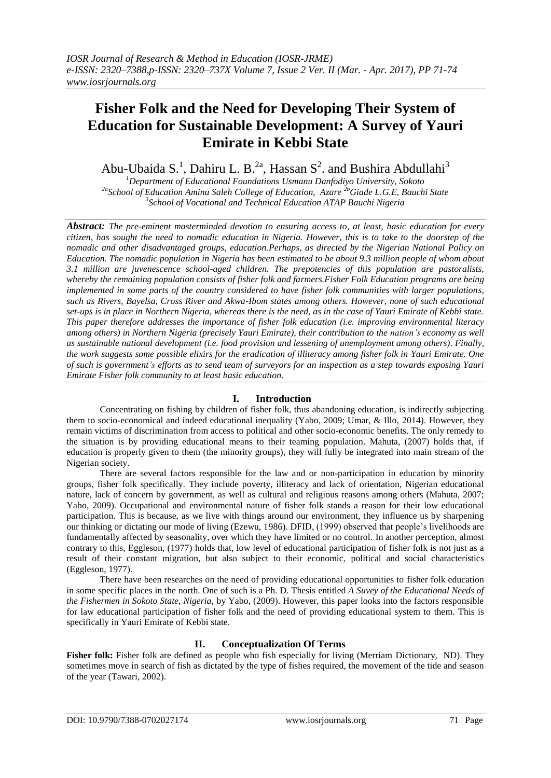# **Fisher Folk and the Need for Developing Their System of Education for Sustainable Development: A Survey of Yauri Emirate in Kebbi State**

Abu-Ubaida S.<sup>1</sup>, Dahiru L. B.<sup>2a</sup>, Hassan S<sup>2</sup>. and Bushira Abdullahi<sup>3</sup>

*<sup>1</sup>Department of Educational Foundations Usmanu Danfodiyo University, Sokoto 2a School of Education Aminu Saleh College of Education, Azare 2bGiade L.G.E, Bauchi State 3 School of Vocational and Technical Education ATAP Bauchi Nigeria*

*Abstract: The pre-eminent masterminded devotion to ensuring access to, at least, basic education for every citizen, has sought the need to nomadic education in Nigeria. However, this is to take to the doorstep of the nomadic and other disadvantaged groups, education.Perhaps, as directed by the Nigerian National Policy on Education. The nomadic population in Nigeria has been estimated to be about 9.3 million people of whom about 3.1 million are juvenescence school-aged children. The prepotencies of this population are pastoralists, whereby the remaining population consists of fisher folk and farmers.Fisher Folk Education programs are being implemented in some parts of the country considered to have fisher folk communities with larger populations, such as Rivers, Bayelsa, Cross River and Akwa-Ibom states among others. However, none of such educational set-ups is in place in Northern Nigeria, whereas there is the need, as in the case of Yauri Emirate of Kebbi state. This paper therefore addresses the importance of fisher folk education (i.e. improving environmental literacy among others) in Northern Nigeria (precisely Yauri Emirate), their contribution to the nation's economy as well as sustainable national development (i.e. food provision and lessening of unemployment among others). Finally, the work suggests some possible elixirs for the eradication of illiteracy among fisher folk in Yauri Emirate. One of such is government's efforts as to send team of surveyors for an inspection as a step towards exposing Yauri Emirate Fisher folk community to at least basic education.*

## **I. Introduction**

Concentrating on fishing by children of fisher folk, thus abandoning education, is indirectly subjecting them to socio-economical and indeed educational inequality (Yabo, 2009; Umar, & Illo, 2014). However, they remain victims of discrimination from access to political and other socio-economic benefits. The only remedy to the situation is by providing educational means to their teaming population. Mahuta, (2007) holds that, if education is properly given to them (the minority groups), they will fully be integrated into main stream of the Nigerian society.

There are several factors responsible for the law and or non-participation in education by minority groups, fisher folk specifically. They include poverty, illiteracy and lack of orientation, Nigerian educational nature, lack of concern by government, as well as cultural and religious reasons among others (Mahuta, 2007; Yabo, 2009). Occupational and environmental nature of fisher folk stands a reason for their low educational participation. This is because, as we live with things around our environment, they influence us by sharpening our thinking or dictating our mode of living (Ezewu, 1986). DFID, (1999) observed that people's livelihoods are fundamentally affected by seasonality, over which they have limited or no control. In another perception, almost contrary to this, Eggleson, (1977) holds that, low level of educational participation of fisher folk is not just as a result of their constant migration, but also subject to their economic, political and social characteristics (Eggleson, 1977).

There have been researches on the need of providing educational opportunities to fisher folk education in some specific places in the north. One of such is a Ph. D. Thesis entitled *A Suvey of the Educational Needs of the Fishermen in Sokoto State, Nigeria,* by Yabo, (2009). However, this paper looks into the factors responsible for law educational participation of fisher folk and the need of providing educational system to them. This is specifically in Yauri Emirate of Kebbi state.

## **II. Conceptualization Of Terms**

**Fisher folk:** Fisher folk are defined as people who fish especially for living (Merriam Dictionary, ND). They sometimes move in search of fish as dictated by the type of fishes required, the movement of the tide and season of the year (Tawari, 2002).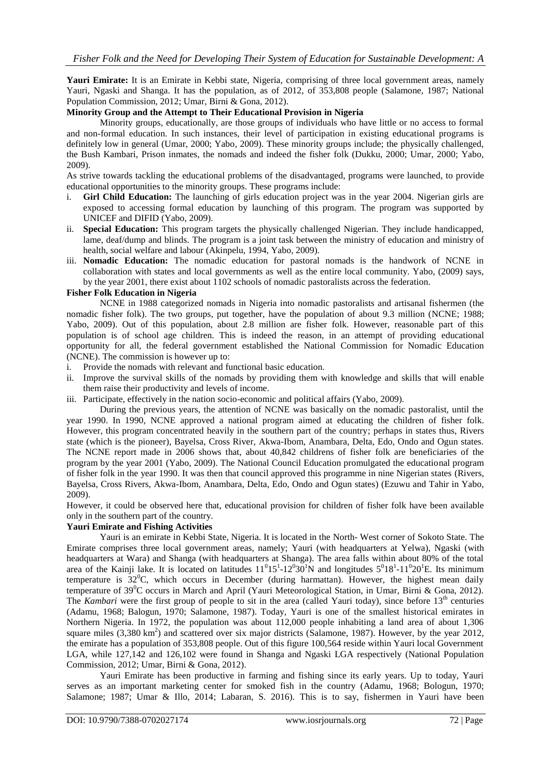**Yauri Emirate:** It is an Emirate in Kebbi state, Nigeria, comprising of three local government areas, namely Yauri, Ngaski and Shanga. It has the population, as of 2012, of 353,808 people (Salamone, 1987; National Population Commission, 2012; Umar, Birni & Gona, 2012).

#### **Minority Group and the Attempt to Their Educational Provision in Nigeria**

Minority groups, educationally, are those groups of individuals who have little or no access to formal and non-formal education. In such instances, their level of participation in existing educational programs is definitely low in general (Umar, 2000; Yabo, 2009). These minority groups include; the physically challenged, the Bush Kambari, Prison inmates, the nomads and indeed the fisher folk (Dukku, 2000; Umar, 2000; Yabo, 2009).

As strive towards tackling the educational problems of the disadvantaged, programs were launched, to provide educational opportunities to the minority groups. These programs include:

- **Girl Child Education:** The launching of girls education project was in the year 2004. Nigerian girls are exposed to accessing formal education by launching of this program. The program was supported by UNICEF and DIFID (Yabo, 2009).
- ii. **Special Education:** This program targets the physically challenged Nigerian. They include handicapped, lame, deaf/dump and blinds. The program is a joint task between the ministry of education and ministry of health, social welfare and labour (Akinpelu, 1994, Yabo, 2009).
- iii. **Nomadic Education:** The nomadic education for pastoral nomads is the handwork of NCNE in collaboration with states and local governments as well as the entire local community. Yabo, (2009) says, by the year 2001, there exist about 1102 schools of nomadic pastoralists across the federation.

#### **Fisher Folk Education in Nigeria**

NCNE in 1988 categorized nomads in Nigeria into nomadic pastoralists and artisanal fishermen (the nomadic fisher folk). The two groups, put together, have the population of about 9.3 million (NCNE; 1988; Yabo, 2009). Out of this population, about 2.8 million are fisher folk. However, reasonable part of this population is of school age children. This is indeed the reason, in an attempt of providing educational opportunity for all, the federal government established the National Commission for Nomadic Education (NCNE). The commission is however up to:

- i. Provide the nomads with relevant and functional basic education.
- ii. Improve the survival skills of the nomads by providing them with knowledge and skills that will enable them raise their productivity and levels of income.
- iii. Participate, effectively in the nation socio-economic and political affairs (Yabo, 2009).

During the previous years, the attention of NCNE was basically on the nomadic pastoralist, until the year 1990. In 1990, NCNE approved a national program aimed at educating the children of fisher folk. However, this program concentrated heavily in the southern part of the country; perhaps in states thus, Rivers state (which is the pioneer), Bayelsa, Cross River, Akwa-Ibom, Anambara, Delta, Edo, Ondo and Ogun states. The NCNE report made in 2006 shows that, about 40,842 childrens of fisher folk are beneficiaries of the program by the year 2001 (Yabo, 2009). The National Council Education promulgated the educational program of fisher folk in the year 1990. It was then that council approved this programme in nine Nigerian states (Rivers, Bayelsa, Cross Rivers, Akwa-Ibom, Anambara, Delta, Edo, Ondo and Ogun states) (Ezuwu and Tahir in Yabo, 2009).

However, it could be observed here that, educational provision for children of fisher folk have been available only in the southern part of the country.

### **Yauri Emirate and Fishing Activities**

Yauri is an [emirate](https://en.wikipedia.org/wiki/Emirate) in [Kebbi State,](https://en.wikipedia.org/wiki/Kebbi_State) Nigeria. It is located in the North- West corner of Sokoto State. The Emirate comprises three local government areas, namely; Yauri (with headquarters at Yelwa), Ngaski (with headquarters at Wara) and Shanga (with headquarters at Shanga). The area falls within about 80% of the total area of the Kainji lake. It is located on latitudes  $11^015^1$ -12 $030^1N$  and longitudes  $5^018^1$ -11 $020^1E$ . Its minimum temperature is  $32^{\circ}$ C, which occurs in December (during harmattan). However, the highest mean daily temperature of 39<sup>0</sup>C occurs in March and April (Yauri Meteorological Station, in Umar, Birni & Gona, 2012). The *Kambari* were the first group of people to sit in the area (called Yauri today), since before 13<sup>th</sup> centuries (Adamu, 1968; Balogun, 1970; Salamone, 1987). Today, Yauri is one of the smallest historical emirates in Northern Nigeria. In 1972, the population was about 112,000 people inhabiting a land area of about 1,306 square miles (3,380 km<sup>2</sup>) and scattered over six major districts (Salamone, 1987). However, by the year 2012, the emirate has a population of 353,808 people. Out of this figure 100,564 reside within Yauri local Government LGA, while 127,142 and 126,102 were found in Shanga and Ngaski LGA respectively (National Population Commission, 2012; Umar, Birni & Gona, 2012).

Yauri Emirate has been productive in farming and fishing since its early years. Up to today, Yauri serves as an important marketing center for smoked fish in the country (Adamu, 1968; Bologun, 1970; Salamone; 1987; Umar & Illo, 2014; Labaran, S. 2016). This is to say, fishermen in Yauri have been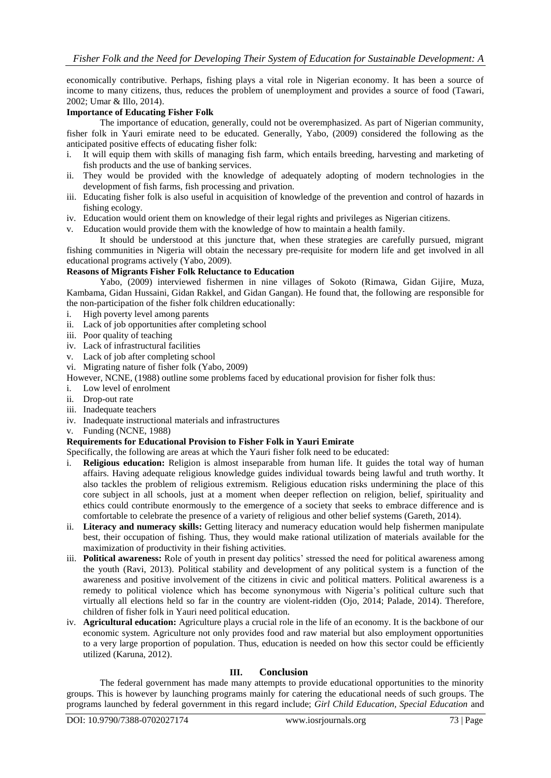economically contributive. Perhaps, fishing plays a vital role in Nigerian economy. It has been a source of income to many citizens, thus, reduces the problem of unemployment and provides a source of food (Tawari, 2002; Umar & Illo, 2014).

#### **Importance of Educating Fisher Folk**

The importance of education, generally, could not be overemphasized. As part of Nigerian community, fisher folk in Yauri emirate need to be educated. Generally, Yabo, (2009) considered the following as the anticipated positive effects of educating fisher folk:

- i. It will equip them with skills of managing fish farm, which entails breeding, harvesting and marketing of fish products and the use of banking services.
- ii. They would be provided with the knowledge of adequately adopting of modern technologies in the development of fish farms, fish processing and privation.
- iii. Educating fisher folk is also useful in acquisition of knowledge of the prevention and control of hazards in fishing ecology.
- iv. Education would orient them on knowledge of their legal rights and privileges as Nigerian citizens.
- v. Education would provide them with the knowledge of how to maintain a health family.

It should be understood at this juncture that, when these strategies are carefully pursued, migrant fishing communities in Nigeria will obtain the necessary pre-requisite for modern life and get involved in all educational programs actively (Yabo, 2009).

#### **Reasons of Migrants Fisher Folk Reluctance to Education**

Yabo, (2009) interviewed fishermen in nine villages of Sokoto (Rimawa, Gidan Gijire, Muza, Kambama, Gidan Hussaini, Gidan Rakkel, and Gidan Gangan). He found that, the following are responsible for the non-participation of the fisher folk children educationally:

- i. High poverty level among parents
- ii. Lack of job opportunities after completing school
- iii. Poor quality of teaching
- iv. Lack of infrastructural facilities
- v. Lack of job after completing school
- vi. Migrating nature of fisher folk (Yabo, 2009)
- However, NCNE, (1988) outline some problems faced by educational provision for fisher folk thus:
- i. Low level of enrolment
- ii. Drop-out rate
- iii. Inadequate teachers
- iv. Inadequate instructional materials and infrastructures
- v. Funding (NCNE, 1988)

### **Requirements for Educational Provision to Fisher Folk in Yauri Emirate**

Specifically, the following are areas at which the Yauri fisher folk need to be educated:

- i. **Religious education:** Religion is almost inseparable from human life. It guides the total way of human affairs. Having adequate religious knowledge guides individual towards being lawful and truth worthy. It also tackles the problem of religious extremism. Religious education risks undermining the place of this core subject in all schools, just at a moment when deeper reflection on religion, belief, spirituality and ethics could contribute enormously to the emergence of a society that seeks to embrace difference and is comfortable to celebrate the presence of a variety of religious and other belief systems (Gareth, 2014).
- ii. **Literacy and numeracy skills:** Getting literacy and numeracy education would help fishermen manipulate best, their occupation of fishing. Thus, they would make rational utilization of materials available for the maximization of productivity in their fishing activities.
- iii. **Political awareness:** Role of youth in present day politics' stressed the need for political awareness among the youth (Ravi, 2013). Political stability and development of any political system is a function of the awareness and positive involvement of the citizens in civic and political matters. Political awareness is a remedy to political violence which has become synonymous with Nigeria's political culture such that virtually all elections held so far in the country are violent-ridden (Ojo, 2014; Palade, 2014). Therefore, children of fisher folk in Yauri need political education.
- iv. **Agricultural education:** Agriculture plays a crucial role in the life of an economy. It is the backbone of our economic system. Agriculture not only provides food and raw material but also employment opportunities to a very large proportion of population. Thus, education is needed on how this sector could be efficiently utilized (Karuna, 2012).

#### **III. Conclusion**

The federal government has made many attempts to provide educational opportunities to the minority groups. This is however by launching programs mainly for catering the educational needs of such groups. The programs launched by federal government in this regard include; *Girl Child Education, Special Education* and